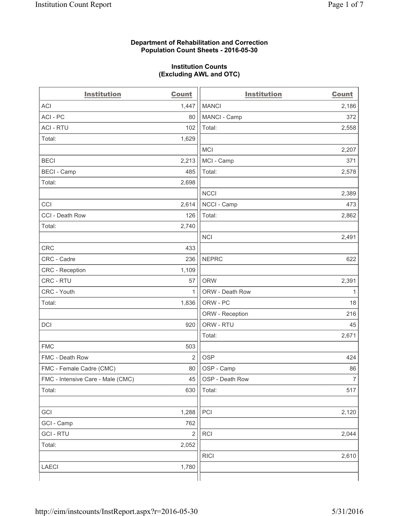#### **Department of Rehabilitation and Correction Population Count Sheets - 2016-05-30**

#### **Institution Counts (Excluding AWL and OTC)**

| <b>Institution</b>                | <b>Count</b>   | <b>Institution</b> | <b>Count</b>   |
|-----------------------------------|----------------|--------------------|----------------|
| <b>ACI</b>                        | 1,447          | <b>MANCI</b>       | 2,186          |
| ACI-PC                            | 80             | MANCI - Camp       | 372            |
| <b>ACI - RTU</b>                  | 102            | Total:             | 2,558          |
| Total:                            | 1,629          |                    |                |
|                                   |                | <b>MCI</b>         | 2,207          |
| <b>BECI</b>                       | 2,213          | MCI - Camp         | 371            |
| <b>BECI</b> - Camp                | 485            | Total:             | 2,578          |
| Total:                            | 2,698          |                    |                |
|                                   |                | <b>NCCI</b>        | 2,389          |
| CCI                               | 2,614          | NCCI - Camp        | 473            |
| CCI - Death Row                   | 126            | Total:             | 2,862          |
| Total:                            | 2,740          |                    |                |
|                                   |                | <b>NCI</b>         | 2,491          |
| <b>CRC</b>                        | 433            |                    |                |
| CRC - Cadre                       | 236            | <b>NEPRC</b>       | 622            |
| CRC - Reception                   | 1,109          |                    |                |
| CRC - RTU                         | 57             | <b>ORW</b>         | 2,391          |
| CRC - Youth                       | 1              | ORW - Death Row    | 1              |
| Total:                            | 1,836          | ORW - PC           | 18             |
|                                   |                | ORW - Reception    | 216            |
| DCI                               | 920            | ORW - RTU          | 45             |
|                                   |                | Total:             | 2,671          |
| <b>FMC</b>                        | 503            |                    |                |
| FMC - Death Row                   | $\overline{2}$ | <b>OSP</b>         | 424            |
| FMC - Female Cadre (CMC)          | 80             | OSP - Camp         | 86             |
| FMC - Intensive Care - Male (CMC) | 45             | OSP - Death Row    | $\overline{7}$ |
| Total:                            | 630            | Total:             | 517            |
|                                   |                |                    |                |
| GCI                               | 1,288          | PCI                | 2,120          |
| GCI - Camp                        | 762            |                    |                |
| <b>GCI - RTU</b>                  | $\sqrt{2}$     | RCI                | 2,044          |
| Total:                            | 2,052          |                    |                |
|                                   |                | <b>RICI</b>        | 2,610          |
| <b>LAECI</b>                      | 1,780          |                    |                |
|                                   |                |                    |                |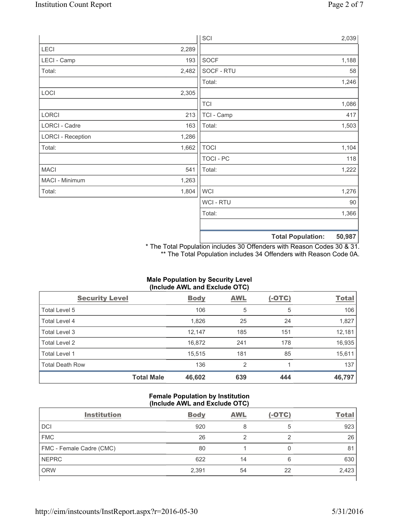ſ

|                          |       | SCI              |                          | 2,039  |
|--------------------------|-------|------------------|--------------------------|--------|
| LECI                     | 2,289 |                  |                          |        |
| LECI - Camp              | 193   | <b>SOCF</b>      |                          | 1,188  |
| Total:                   | 2,482 | SOCF - RTU       |                          | 58     |
|                          |       | Total:           |                          | 1,246  |
| LOCI                     | 2,305 |                  |                          |        |
|                          |       | <b>TCI</b>       |                          | 1,086  |
| LORCI                    | 213   | TCI - Camp       |                          | 417    |
| LORCI - Cadre            | 163   | Total:           |                          | 1,503  |
| <b>LORCI - Reception</b> | 1,286 |                  |                          |        |
| Total:                   | 1,662 | <b>TOCI</b>      |                          | 1,104  |
|                          |       | <b>TOCI - PC</b> |                          | 118    |
| <b>MACI</b>              | 541   | Total:           |                          | 1,222  |
| MACI - Minimum           | 1,263 |                  |                          |        |
| Total:                   | 1,804 | <b>WCI</b>       |                          | 1,276  |
|                          |       | <b>WCI-RTU</b>   |                          | 90     |
|                          |       | Total:           |                          | 1,366  |
|                          |       |                  |                          |        |
|                          |       |                  | <b>Total Population:</b> | 50,987 |

\* The Total Population includes 30 Offenders with Reason Codes 30 & 31. \*\* The Total Population includes 34 Offenders with Reason Code 0A.

# **Male Population by Security Level (Include AWL and Exclude OTC)**

| <b>Security Level</b>  |                   | <b>Body</b> | <b>AWL</b>     | <u>(-OTC)</u> | <b>Total</b> |
|------------------------|-------------------|-------------|----------------|---------------|--------------|
| Total Level 5          |                   | 106         | 5              | 5             | 106          |
| Total Level 4          |                   | 1,826       | 25             | 24            | 1,827        |
| Total Level 3          |                   | 12,147      | 185            | 151           | 12,181       |
| Total Level 2          |                   | 16,872      | 241            | 178           | 16,935       |
| <b>Total Level 1</b>   |                   | 15,515      | 181            | 85            | 15,611       |
| <b>Total Death Row</b> |                   | 136         | $\overline{2}$ |               | 137          |
|                        | <b>Total Male</b> | 46,602      | 639            | 444           | 46,797       |

## **Female Population by Institution (Include AWL and Exclude OTC)**

| <b>Institution</b>       | <b>Body</b> | <b>AWL</b> | $(-OTC)$ | <b>Total</b> |
|--------------------------|-------------|------------|----------|--------------|
| <b>DCI</b>               | 920         | 8          | 5        | 923          |
| <b>FMC</b>               | 26          |            |          | 26           |
| FMC - Female Cadre (CMC) | 80          |            |          | 81           |
| <b>NEPRC</b>             | 622         | 14         | 6        | 630          |
| <b>ORW</b>               | 2,391       | 54         | 22       | 2,423        |
|                          |             |            |          |              |

٦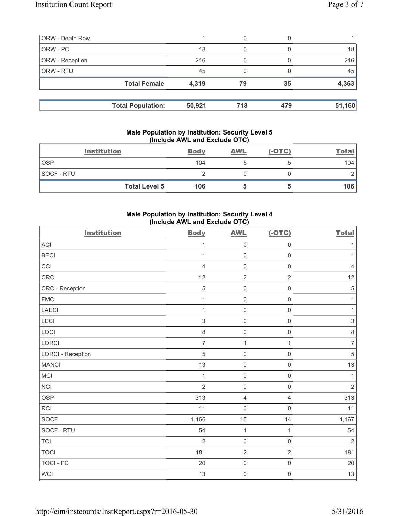| <b>ORW - Death Row</b> |                          |        | 0   |     |        |
|------------------------|--------------------------|--------|-----|-----|--------|
| ORW - PC               |                          | 18     | 0   |     | 18     |
| ORW - Reception        |                          | 216    | 0   |     | 216    |
| ORW - RTU              |                          | 45     |     |     | 45     |
|                        | <b>Total Female</b>      | 4,319  | 79  | 35  | 4,363  |
|                        |                          |        |     |     |        |
|                        | <b>Total Population:</b> | 50,921 | 718 | 479 | 51,160 |

#### **Male Population by Institution: Security Level 5 (Include AWL and Exclude OTC)**

|            | <b>Institution</b>   | <b>Body</b> | <b>AWL</b> | $(-OTC)$ | <b>Total</b> |
|------------|----------------------|-------------|------------|----------|--------------|
| <b>OSP</b> |                      | 104         |            |          | 104          |
| SOCF - RTU |                      |             |            |          |              |
|            | <b>Total Level 5</b> | 106         |            |          | 106          |

## **Male Population by Institution: Security Level 4 (Include AWL and Exclude OTC)**

| <b>Institution</b>       | <b>Body</b>    | <b>AWL</b>          | $(-OTC)$            | <b>Total</b>   |
|--------------------------|----------------|---------------------|---------------------|----------------|
| ACI                      | $\mathbf{1}$   | $\mathsf 0$         | $\mathsf 0$         | 1              |
| <b>BECI</b>              | 1              | $\mathsf{O}\xspace$ | $\mathsf{O}\xspace$ | 1              |
| CCI                      | $\overline{4}$ | $\mathsf 0$         | $\mathsf 0$         | $\overline{4}$ |
| CRC                      | 12             | $\overline{2}$      | $\overline{2}$      | 12             |
| CRC - Reception          | $\overline{5}$ | $\mathsf{O}\xspace$ | $\mathsf{O}\xspace$ | $\overline{5}$ |
| ${\sf FMC}$              | 1              | $\mathsf{O}\xspace$ | $\mathsf{O}\xspace$ | $\mathbf{1}$   |
| <b>LAECI</b>             | $\mathbf{1}$   | $\mathsf{O}\xspace$ | $\mathsf{O}\xspace$ | $\mathbf{1}$   |
| LECI                     | $\mathfrak{S}$ | $\mathsf{O}\xspace$ | $\mathsf{O}\xspace$ | $\mathsf 3$    |
| LOCI                     | 8              | $\mathsf{O}\xspace$ | $\mathsf{O}\xspace$ | $\,8\,$        |
| <b>LORCI</b>             | $\overline{7}$ | $\mathbf{1}$        | $\mathbf{1}$        | $\overline{7}$ |
| <b>LORCI - Reception</b> | 5              | $\mathsf{O}\xspace$ | $\mathsf{O}\xspace$ | 5              |
| <b>MANCI</b>             | 13             | $\mathsf{O}\xspace$ | $\mathsf{O}\xspace$ | 13             |
| MCI                      | $\mathbf{1}$   | $\mathsf{O}\xspace$ | $\mathsf 0$         | $\mathbf{1}$   |
| <b>NCI</b>               | $\overline{2}$ | $\mathsf{O}\xspace$ | $\mathsf{O}\xspace$ | $\overline{2}$ |
| <b>OSP</b>               | 313            | $\overline{4}$      | 4                   | 313            |
| RCI                      | 11             | $\mathsf{O}\xspace$ | $\mathsf{O}\xspace$ | 11             |
| <b>SOCF</b>              | 1,166          | 15                  | 14                  | 1,167          |
| SOCF - RTU               | 54             | $\mathbf{1}$        | $\mathbf{1}$        | 54             |
| <b>TCI</b>               | $\overline{2}$ | $\mathsf{O}\xspace$ | $\mathsf{O}\xspace$ | $\overline{2}$ |
| <b>TOCI</b>              | 181            | $\overline{2}$      | $\overline{2}$      | 181            |
| <b>TOCI - PC</b>         | 20             | $\mathsf 0$         | $\mathsf{O}\xspace$ | 20             |
| <b>WCI</b>               | 13             | $\mathsf{O}$        | $\mathsf{O}\xspace$ | 13             |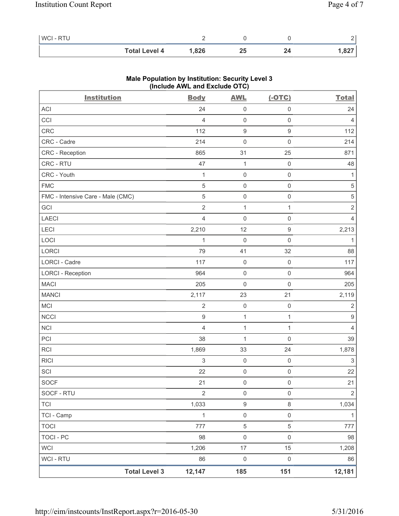| <b>WCI-RTU</b> |                      |       |    |         |
|----------------|----------------------|-------|----|---------|
|                | <b>Total Level 4</b> | 1,826 | 25 | ا 827.، |

| <b>Institution</b>                | $(III$ CIUDE AVE and EXCIUDE $O(O)$<br><b>Body</b> | <b>AWL</b>          | $(-OTC)$            | <b>Total</b>     |
|-----------------------------------|----------------------------------------------------|---------------------|---------------------|------------------|
| ACI                               | 24                                                 | 0                   | $\mathsf 0$         | 24               |
| CCI                               | $\overline{4}$                                     | $\mathsf{O}\xspace$ | $\mathsf{O}\xspace$ | 4                |
| CRC                               | 112                                                | $\boldsymbol{9}$    | $\mathsf g$         | 112              |
| CRC - Cadre                       | 214                                                | $\mathsf{O}\xspace$ | $\mathsf 0$         | 214              |
| CRC - Reception                   | 865                                                | 31                  | 25                  | 871              |
| CRC - RTU                         | 47                                                 | $\mathbf{1}$        | $\mathsf 0$         | 48               |
| CRC - Youth                       | $\mathbf{1}$                                       | $\mathsf{O}\xspace$ | $\mathsf{O}\xspace$ | 1                |
| <b>FMC</b>                        | $\sqrt{5}$                                         | $\mathsf{O}\xspace$ | $\mathsf 0$         | 5                |
| FMC - Intensive Care - Male (CMC) | $\sqrt{5}$                                         | $\mathsf{O}\xspace$ | $\mathsf 0$         | $\sqrt{5}$       |
| GCI                               | $\sqrt{2}$                                         | $\mathbf{1}$        | $\mathbf{1}$        | $\sqrt{2}$       |
| LAECI                             | $\overline{4}$                                     | 0                   | $\mathsf 0$         | $\overline{4}$   |
| LECI                              | 2,210                                              | 12                  | $\boldsymbol{9}$    | 2,213            |
| LOCI                              | 1                                                  | $\mathsf{O}\xspace$ | $\mathbf 0$         | 1                |
| LORCI                             | 79                                                 | 41                  | 32                  | 88               |
| <b>LORCI - Cadre</b>              | 117                                                | $\mathsf{O}\xspace$ | $\mathsf{O}\xspace$ | 117              |
| <b>LORCI - Reception</b>          | 964                                                | $\mathsf{O}\xspace$ | $\mathsf 0$         | 964              |
| <b>MACI</b>                       | 205                                                | $\mathsf 0$         | $\mathsf 0$         | 205              |
| <b>MANCI</b>                      | 2,117                                              | 23                  | 21                  | 2,119            |
| MCI                               | $\sqrt{2}$                                         | $\mathsf 0$         | $\mathsf{O}\xspace$ | $\sqrt{2}$       |
| <b>NCCI</b>                       | $\boldsymbol{9}$                                   | $\mathbf{1}$        | $\mathbf{1}$        | $\boldsymbol{9}$ |
| <b>NCI</b>                        | $\overline{4}$                                     | $\mathbf{1}$        | $\mathbf{1}$        | $\overline{4}$   |
| PCI                               | 38                                                 | $\mathbf{1}$        | $\mathsf 0$         | 39               |
| <b>RCI</b>                        | 1,869                                              | 33                  | 24                  | 1,878            |
| <b>RICI</b>                       | $\mathsf 3$                                        | $\mathsf 0$         | $\mathsf 0$         | $\sqrt{3}$       |
| SCI                               | 22                                                 | $\mathsf{O}\xspace$ | $\mathsf 0$         | 22               |
| <b>SOCF</b>                       | 21                                                 | $\,0\,$             | $\mathsf 0$         | 21               |
| SOCF - RTU                        | $\overline{2}$                                     | $\mathsf{O}\xspace$ | $\mathsf{O}\xspace$ | $\sqrt{2}$       |
| <b>TCI</b>                        | 1,033                                              | $\boldsymbol{9}$    | $\,8\,$             | 1,034            |
| TCI - Camp                        | $\mathbf{1}$                                       | $\mathsf{O}\xspace$ | $\mathsf 0$         | $\mathbf{1}$     |
| <b>TOCI</b>                       | 777                                                | $\,$ 5 $\,$         | $\,$ 5 $\,$         | 777              |
| <b>TOCI - PC</b>                  | 98                                                 | $\mathsf{O}\xspace$ | $\mathsf 0$         | 98               |
| <b>WCI</b>                        | 1,206                                              | 17                  | 15                  | 1,208            |
| <b>WCI - RTU</b>                  | 86                                                 | $\mathsf 0$         | $\mathsf{O}\xspace$ | 86               |
| <b>Total Level 3</b>              | 12,147                                             | 185                 | 151                 | 12,181           |

# **Male Population by Institution: Security Level 3 (Include AWL and Exclude OTC)**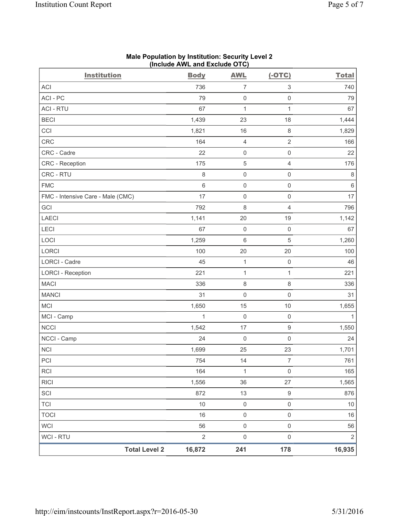| <b>Institution</b>                | <b>Body</b>  | <b>AWL</b>          | $(-OTC)$                  | <b>Total</b>   |
|-----------------------------------|--------------|---------------------|---------------------------|----------------|
| ACI                               | 736          | 7                   | $\ensuremath{\mathsf{3}}$ | 740            |
| ACI - PC                          | 79           | $\mathsf{O}\xspace$ | $\mathsf 0$               | 79             |
| <b>ACI - RTU</b>                  | 67           | $\mathbf{1}$        | $\mathbf{1}$              | 67             |
| <b>BECI</b>                       | 1,439        | 23                  | 18                        | 1,444          |
| CCI                               | 1,821        | 16                  | $\,8\,$                   | 1,829          |
| CRC                               | 164          | $\overline{4}$      | $\sqrt{2}$                | 166            |
| CRC - Cadre                       | 22           | $\mathsf{O}\xspace$ | $\mathsf 0$               | 22             |
| CRC - Reception                   | 175          | 5                   | $\overline{4}$            | 176            |
| CRC - RTU                         | 8            | $\mathsf{O}\xspace$ | $\mathsf 0$               | $\,8\,$        |
| <b>FMC</b>                        | $\,6\,$      | $\mathsf{O}\xspace$ | $\mathsf 0$               | $\,6$          |
| FMC - Intensive Care - Male (CMC) | 17           | $\mathsf{O}\xspace$ | $\mathsf 0$               | 17             |
| GCI                               | 792          | $\,8\,$             | $\overline{4}$            | 796            |
| <b>LAECI</b>                      | 1,141        | 20                  | 19                        | 1,142          |
| LECI                              | 67           | $\mathsf{O}\xspace$ | $\mathbf 0$               | 67             |
| LOCI                              | 1,259        | $\,6\,$             | $\sqrt{5}$                | 1,260          |
| <b>LORCI</b>                      | 100          | 20                  | 20                        | 100            |
| LORCI - Cadre                     | 45           | $\mathbf{1}$        | $\mathsf 0$               | 46             |
| <b>LORCI - Reception</b>          | 221          | $\mathbf{1}$        | $\mathbf{1}$              | 221            |
| <b>MACI</b>                       | 336          | 8                   | $\,8\,$                   | 336            |
| <b>MANCI</b>                      | 31           | $\mathsf{O}\xspace$ | $\mathsf 0$               | 31             |
| <b>MCI</b>                        | 1,650        | 15                  | 10                        | 1,655          |
| MCI - Camp                        | $\mathbf{1}$ | $\mathsf{O}\xspace$ | $\mathsf{O}\xspace$       | $\mathbf{1}$   |
| <b>NCCI</b>                       | 1,542        | 17                  | $\mathsf 9$               | 1,550          |
| NCCI - Camp                       | 24           | $\mathsf{O}\xspace$ | $\mathbf 0$               | 24             |
| NCI                               | 1,699        | 25                  | 23                        | 1,701          |
| PCI                               | 754          | 14                  | 7                         | 761            |
| <b>RCI</b>                        | 164          | $\mathbf{1}$        | $\mathsf{O}\xspace$       | 165            |
| <b>RICI</b>                       | 1,556        | 36                  | 27                        | 1,565          |
| SCI                               | 872          | 13                  | $\boldsymbol{9}$          | 876            |
| <b>TCI</b>                        | 10           | $\mathsf{O}\xspace$ | $\mathsf{O}\xspace$       | 10             |
| <b>TOCI</b>                       | 16           | $\mathsf 0$         | $\mathsf 0$               | 16             |
| <b>WCI</b>                        | 56           | $\mathsf 0$         | $\mathsf 0$               | 56             |
| WCI - RTU                         | $\sqrt{2}$   | $\mathsf 0$         | $\mathsf{O}\xspace$       | $\overline{2}$ |
| <b>Total Level 2</b>              | 16,872       | 241                 | 178                       | 16,935         |

#### **Male Population by Institution: Security Level 2 (Include AWL and Exclude OTC)**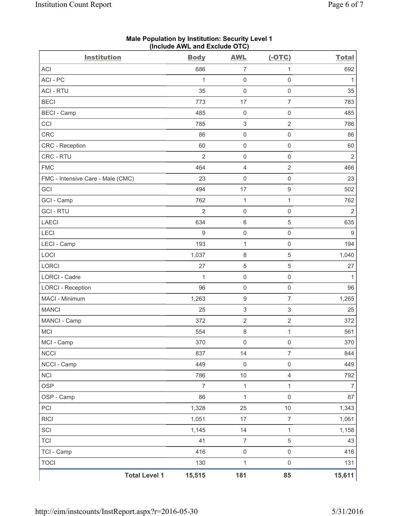| <b>Institution</b>                | $(110100 \text{ A})$ $\sim$ $(100 \text{ A})$<br><b>Body</b> | <b>AWL</b>                | $(-OTC)$            | <b>Total</b>   |
|-----------------------------------|--------------------------------------------------------------|---------------------------|---------------------|----------------|
| <b>ACI</b>                        | 686                                                          | $\overline{7}$            | 1                   | 692            |
| ACI - PC                          | 1                                                            | $\mathsf 0$               | $\mathsf{O}\xspace$ | 1              |
| <b>ACI - RTU</b>                  | 35                                                           | $\mathbf 0$               | $\mathsf{O}\xspace$ | 35             |
| <b>BECI</b>                       | 773                                                          | 17                        | $\overline{7}$      | 783            |
| <b>BECI - Camp</b>                | 485                                                          | $\mathsf{O}\xspace$       | 0                   | 485            |
| CCI                               | 785                                                          | $\ensuremath{\mathsf{3}}$ | $\overline{2}$      | 786            |
| CRC                               | 86                                                           | $\mathsf{O}\xspace$       | $\mathsf{O}\xspace$ | 86             |
| CRC - Reception                   | 60                                                           | $\mathsf{O}\xspace$       | $\mathsf{O}\xspace$ | 60             |
| CRC - RTU                         | $\overline{2}$                                               | $\mathsf{O}\xspace$       | $\mathsf{O}\xspace$ | $\overline{2}$ |
| <b>FMC</b>                        | 464                                                          | $\overline{4}$            | $\overline{2}$      | 466            |
| FMC - Intensive Care - Male (CMC) | 23                                                           | $\mathsf{O}\xspace$       | 0                   | 23             |
| GCI                               | 494                                                          | 17                        | $\hbox{9}$          | 502            |
| GCI - Camp                        | 762                                                          | $\mathbf{1}$              | 1                   | 762            |
| <b>GCI - RTU</b>                  | $\overline{2}$                                               | $\mathsf{O}\xspace$       | $\mathsf 0$         | $\sqrt{2}$     |
| LAECI                             | 634                                                          | $6\,$                     | 5                   | 635            |
| LECI                              | 9                                                            | $\mathsf{O}\xspace$       | 0                   | 9              |
| LECI - Camp                       | 193                                                          | $\mathbf{1}$              | $\mathsf{O}\xspace$ | 194            |
| LOCI                              | 1,037                                                        | $\,8\,$                   | 5                   | 1,040          |
| <b>LORCI</b>                      | 27                                                           | $\sqrt{5}$                | 5                   | 27             |
| <b>LORCI - Cadre</b>              | 1                                                            | $\mathsf{O}\xspace$       | $\mathsf{O}\xspace$ | $\mathbf{1}$   |
| <b>LORCI - Reception</b>          | 96                                                           | $\mathsf{O}\xspace$       | $\mathsf{O}\xspace$ | 96             |
| MACI - Minimum                    | 1,263                                                        | $\boldsymbol{9}$          | $\overline{7}$      | 1,265          |
| <b>MANCI</b>                      | 25                                                           | $\sqrt{3}$                | 3                   | 25             |
| MANCI - Camp                      | 372                                                          | $\sqrt{2}$                | $\mathbf 2$         | 372            |
| MCI                               | 554                                                          | $\,8\,$                   | $\mathbf{1}$        | 561            |
| MCI - Camp                        | 370                                                          | $\mathsf 0$               | $\mathsf 0$         | 370            |
| <b>NCCI</b>                       | 837                                                          | 14                        | 7                   | 844            |
| NCCI - Camp                       | 449                                                          | $\mathsf{O}\xspace$       | $\mathsf{O}\xspace$ | 449            |
| <b>NCI</b>                        | 786                                                          | $10$                      | $\overline{4}$      | 792            |
| <b>OSP</b>                        | $\overline{7}$                                               | $\mathbf{1}$              | $\mathbf{1}$        | $\overline{7}$ |
| OSP - Camp                        | 86                                                           | $\mathbf 1$               | $\mathsf 0$         | 87             |
| PCI                               | 1,328                                                        | 25                        | 10                  | 1,343          |
| <b>RICI</b>                       | 1,051                                                        | 17                        | $\overline{7}$      | 1,061          |
| SCI                               | 1,145                                                        | 14                        | $\mathbf{1}$        | 1,158          |
| <b>TCI</b>                        | 41                                                           | $\overline{7}$            | 5                   | 43             |
| TCI - Camp                        | 416                                                          | $\mathsf 0$               | $\mathsf 0$         | 416            |
| <b>TOCI</b>                       | 130                                                          | $\mathbf{1}$              | $\mathsf{O}\xspace$ | 131            |
| <b>Total Level 1</b>              | 15,515                                                       | 181                       | 85                  | 15,611         |

**Male Population by Institution: Security Level 1 (Include AWL and Exclude OTC)**